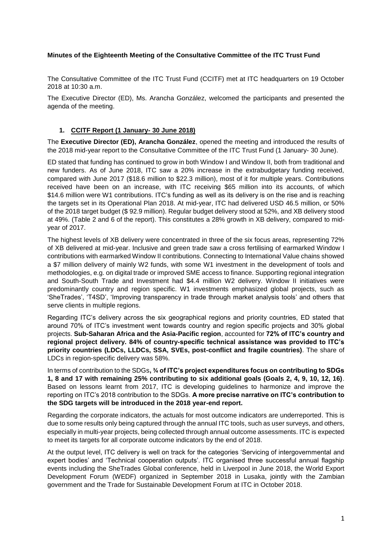## **Minutes of the Eighteenth Meeting of the Consultative Committee of the ITC Trust Fund**

The Consultative Committee of the ITC Trust Fund (CCITF) met at ITC headquarters on 19 October 2018 at 10:30 a.m.

The Executive Director (ED), Ms. Arancha González, welcomed the participants and presented the agenda of the meeting.

## **1. CCITF Report (1 January- 30 June 2018)**

The **Executive Director (ED), Arancha González**, opened the meeting and introduced the results of the 2018 mid-year report to the Consultative Committee of the ITC Trust Fund (1 January- 30 June).

ED stated that funding has continued to grow in both Window I and Window II, both from traditional and new funders. As of June 2018, ITC saw a 20% increase in the extrabudgetary funding received, compared with June 2017 (\$18.6 million to \$22.3 million), most of it for multiple years. Contributions received have been on an increase, with ITC receiving \$65 million into its accounts, of which \$14.6 million were W1 contributions. ITC's funding as well as its delivery is on the rise and is reaching the targets set in its Operational Plan 2018. At mid-year, ITC had delivered USD 46.5 million, or 50% of the 2018 target budget (\$ 92.9 million). Regular budget delivery stood at 52%, and XB delivery stood at 49%. (Table 2 and 6 of the report). This constitutes a 28% growth in XB delivery, compared to midyear of 2017.

The highest levels of XB delivery were concentrated in three of the six focus areas, representing 72% of XB delivered at mid-year. Inclusive and green trade saw a cross fertilising of earmarked Window I contributions with earmarked Window II contributions. Connecting to International Value chains showed a \$7 million delivery of mainly W2 funds, with some W1 investment in the development of tools and methodologies, e.g. on digital trade or improved SME access to finance. Supporting regional integration and South-South Trade and Investment had \$4.4 million W2 delivery. Window II initiatives were predominantly country and region specific. W1 investments emphasized global projects, such as 'SheTrades', 'T4SD', 'Improving transparency in trade through market analysis tools' and others that serve clients in multiple regions.

Regarding ITC's delivery across the six geographical regions and priority countries, ED stated that around 70% of ITC's investment went towards country and region specific projects and 30% global projects. **Sub-Saharan Africa and the Asia-Pacific region**, accounted for **72% of ITC's country and regional project delivery. 84% of country-specific technical assistance was provided to ITC's priority countries (LDCs, LLDCs, SSA, SVEs, post-conflict and fragile countries)**. The share of LDCs in region-specific delivery was 58%.

In terms of contribution to the SDGs**, ¾ of ITC's project expenditures focus on contributing to SDGs 1, 8 and 17 with remaining 25% contributing to six additional goals (Goals 2, 4, 9, 10, 12, 16)**. Based on lessons learnt from 2017, ITC is developing guidelines to harmonize and improve the reporting on ITC's 2018 contribution to the SDGs. **A more precise narrative on ITC's contribution to the SDG targets will be introduced in the 2018 year-end report.**

Regarding the corporate indicators, the actuals for most outcome indicators are underreported. This is due to some results only being captured through the annual ITC tools, such as user surveys, and others, especially in multi-year projects, being collected through annual outcome assessments. ITC is expected to meet its targets for all corporate outcome indicators by the end of 2018.

At the output level, ITC delivery is well on track for the categories 'Servicing of intergovernmental and expert bodies' and 'Technical cooperation outputs'. ITC organised three successful annual flagship events including the SheTrades Global conference, held in Liverpool in June 2018, the World Export Development Forum (WEDF) organized in September 2018 in Lusaka, jointly with the Zambian government and the Trade for Sustainable Development Forum at ITC in October 2018.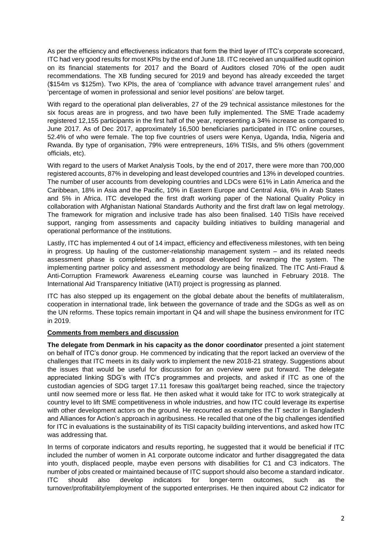As per the efficiency and effectiveness indicators that form the third layer of ITC's corporate scorecard, ITC had very good results for most KPIs by the end of June 18. ITC received an unqualified audit opinion on its financial statements for 2017 and the Board of Auditors closed 70% of the open audit recommendations. The XB funding secured for 2019 and beyond has already exceeded the target (\$154m vs \$125m). Two KPIs, the area of 'compliance with advance travel arrangement rules' and 'percentage of women in professional and senior level positions' are below target.

With regard to the operational plan deliverables, 27 of the 29 technical assistance milestones for the six focus areas are in progress, and two have been fully implemented. The SME Trade academy registered 12,155 participants in the first half of the year, representing a 34% increase as compared to June 2017. As of Dec 2017, approximately 16,500 beneficiaries participated in ITC online courses, 52.4% of who were female. The top five countries of users were Kenya, Uganda, India, Nigeria and Rwanda. By type of organisation, 79% were entrepreneurs, 16% TISIs, and 5% others (government officials, etc).

With regard to the users of Market Analysis Tools, by the end of 2017, there were more than 700,000 registered accounts, 87% in developing and least developed countries and 13% in developed countries. The number of user accounts from developing countries and LDCs were 61% in Latin America and the Caribbean, 18% in Asia and the Pacific, 10% in Eastern Europe and Central Asia, 6% in Arab States and 5% in Africa. ITC developed the first draft working paper of the National Quality Policy in collaboration with Afghanistan National Standards Authority and the first draft law on legal metrology. The framework for migration and inclusive trade has also been finalised. 140 TISIs have received support, ranging from assessments and capacity building initiatives to building managerial and operational performance of the institutions.

Lastly, ITC has implemented 4 out of 14 impact, efficiency and effectiveness milestones, with ten being in progress. Up hauling of the customer-relationship management system – and its related needs assessment phase is completed, and a proposal developed for revamping the system. The implementing partner policy and assessment methodology are being finalized. The ITC Anti-Fraud & Anti-Corruption Framework Awareness eLearning course was launched in February 2018. The International Aid Transparency Initiative (IATI) project is progressing as planned.

ITC has also stepped up its engagement on the global debate about the benefits of multilateralism, cooperation in international trade, link between the governance of trade and the SDGs as well as on the UN reforms. These topics remain important in Q4 and will shape the business environment for ITC in 2019.

### **Comments from members and discussion**

**The delegate from Denmark in his capacity as the donor coordinator** presented a joint statement on behalf of ITC's donor group. He commenced by indicating that the report lacked an overview of the challenges that ITC meets in its daily work to implement the new 2018-21 strategy. Suggestions about the issues that would be useful for discussion for an overview were put forward. The delegate appreciated linking SDG's with ITC's programmes and projects, and asked if ITC as one of the custodian agencies of SDG target 17.11 foresaw this goal/target being reached, since the trajectory until now seemed more or less flat. He then asked what it would take for ITC to work strategically at country level to lift SME competitiveness in whole industries, and how ITC could leverage its expertise with other development actors on the ground. He recounted as examples the IT sector in Bangladesh and Alliances for Action's approach in agribusiness. He recalled that one of the big challenges identified for ITC in evaluations is the sustainability of its TISI capacity building interventions, and asked how ITC was addressing that.

In terms of corporate indicators and results reporting, he suggested that it would be beneficial if ITC included the number of women in A1 corporate outcome indicator and further disaggregated the data into youth, displaced people, maybe even persons with disabilities for C1 and C3 indicators. The number of jobs created or maintained because of ITC support should also become a standard indicator. ITC should also develop indicators for longer-term outcomes, such as the turnover/profitability/employment of the supported enterprises. He then inquired about C2 indicator for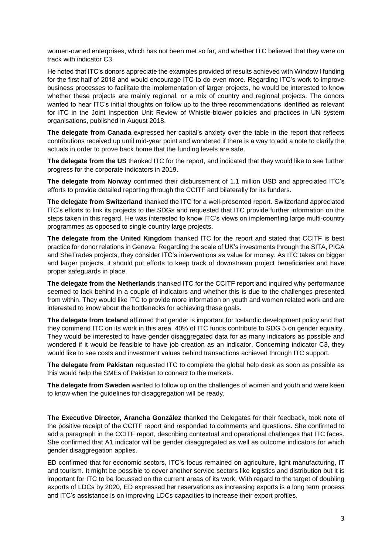women-owned enterprises, which has not been met so far, and whether ITC believed that they were on track with indicator C3.

He noted that ITC's donors appreciate the examples provided of results achieved with Window I funding for the first half of 2018 and would encourage ITC to do even more. Regarding ITC's work to improve business processes to facilitate the implementation of larger projects, he would be interested to know whether these projects are mainly regional, or a mix of country and regional projects. The donors wanted to hear ITC's initial thoughts on follow up to the three recommendations identified as relevant for ITC in the Joint Inspection Unit Review of Whistle-blower policies and practices in UN system organisations, published in August 2018.

**The delegate from Canada** expressed her capital's anxiety over the table in the report that reflects contributions received up until mid-year point and wondered if there is a way to add a note to clarify the actuals in order to prove back home that the funding levels are safe.

**The delegate from the US** thanked ITC for the report, and indicated that they would like to see further progress for the corporate indicators in 2019.

**The delegate from Norway** confirmed their disbursement of 1.1 million USD and appreciated ITC's efforts to provide detailed reporting through the CCITF and bilaterally for its funders.

**The delegate from Switzerland** thanked the ITC for a well-presented report. Switzerland appreciated ITC's efforts to link its projects to the SDGs and requested that ITC provide further information on the steps taken in this regard. He was interested to know ITC's views on implementing large multi-country programmes as opposed to single country large projects.

**The delegate from the United Kingdom** thanked ITC for the report and stated that CCITF is best practice for donor relations in Geneva. Regarding the scale of UK's investments through the SITA, PIGA and SheTrades projects, they consider ITC's interventions as value for money. As ITC takes on bigger and larger projects, it should put efforts to keep track of downstream project beneficiaries and have proper safeguards in place.

**The delegate from the Netherlands** thanked ITC for the CCITF report and inquired why performance seemed to lack behind in a couple of indicators and whether this is due to the challenges presented from within. They would like ITC to provide more information on youth and women related work and are interested to know about the bottlenecks for achieving these goals.

**The delegate from Iceland** affirmed that gender is important for Icelandic development policy and that they commend ITC on its work in this area. 40% of ITC funds contribute to SDG 5 on gender equality. They would be interested to have gender disaggregated data for as many indicators as possible and wondered if it would be feasible to have job creation as an indicator. Concerning indicator C3, they would like to see costs and investment values behind transactions achieved through ITC support.

**The delegate from Pakistan** requested ITC to complete the global help desk as soon as possible as this would help the SMEs of Pakistan to connect to the markets.

**The delegate from Sweden** wanted to follow up on the challenges of women and youth and were keen to know when the guidelines for disaggregation will be ready.

**The Executive Director, Arancha González** thanked the Delegates for their feedback, took note of the positive receipt of the CCITF report and responded to comments and questions. She confirmed to add a paragraph in the CCITF report, describing contextual and operational challenges that ITC faces. She confirmed that A1 indicator will be gender disaggregated as well as outcome indicators for which gender disaggregation applies.

ED confirmed that for economic sectors, ITC's focus remained on agriculture, light manufacturing, IT and tourism. It might be possible to cover another service sectors like logistics and distribution but it is important for ITC to be focussed on the current areas of its work. With regard to the target of doubling exports of LDCs by 2020, ED expressed her reservations as increasing exports is a long term process and ITC's assistance is on improving LDCs capacities to increase their export profiles.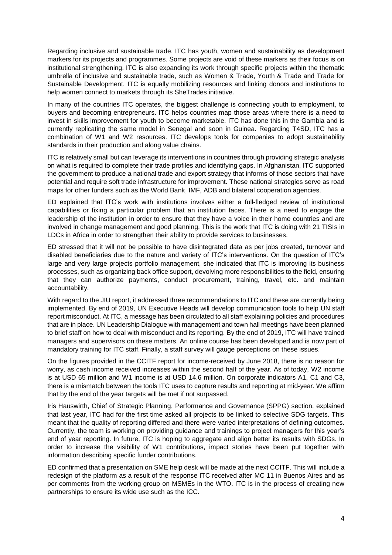Regarding inclusive and sustainable trade, ITC has youth, women and sustainability as development markers for its projects and programmes. Some projects are void of these markers as their focus is on institutional strengthening. ITC is also expanding its work through specific projects within the thematic umbrella of inclusive and sustainable trade, such as Women & Trade, Youth & Trade and Trade for Sustainable Development. ITC is equally mobilizing resources and linking donors and institutions to help women connect to markets through its SheTrades initiative.

In many of the countries ITC operates, the biggest challenge is connecting youth to employment, to buyers and becoming entrepreneurs. ITC helps countries map those areas where there is a need to invest in skills improvement for youth to become marketable. ITC has done this in the Gambia and is currently replicating the same model in Senegal and soon in Guinea. Regarding T4SD, ITC has a combination of W1 and W2 resources. ITC develops tools for companies to adopt sustainability standards in their production and along value chains.

ITC is relatively small but can leverage its interventions in countries through providing strategic analysis on what is required to complete their trade profiles and identifying gaps. In Afghanistan, ITC supported the government to produce a national trade and export strategy that informs of those sectors that have potential and require soft trade infrastructure for improvement. These national strategies serve as road maps for other funders such as the World Bank, IMF, ADB and bilateral cooperation agencies.

ED explained that ITC's work with institutions involves either a full-fledged review of institutional capabilities or fixing a particular problem that an institution faces. There is a need to engage the leadership of the institution in order to ensure that they have a voice in their home countries and are involved in change management and good planning. This is the work that ITC is doing with 21 TISIs in LDCs in Africa in order to strengthen their ability to provide services to businesses.

ED stressed that it will not be possible to have disintegrated data as per jobs created, turnover and disabled beneficiaries due to the nature and variety of ITC's interventions. On the question of ITC's large and very large projects portfolio management, she indicated that ITC is improving its business processes, such as organizing back office support, devolving more responsibilities to the field, ensuring that they can authorize payments, conduct procurement, training, travel, etc. and maintain accountability.

With regard to the JIU report, it addressed three recommendations to ITC and these are currently being implemented. By end of 2019, UN Executive Heads will develop communication tools to help UN staff report misconduct. At ITC, a message has been circulated to all staff explaining policies and procedures that are in place. UN Leadership Dialogue with management and town hall meetings have been planned to brief staff on how to deal with misconduct and its reporting. By the end of 2019, ITC will have trained managers and supervisors on these matters. An online course has been developed and is now part of mandatory training for ITC staff. Finally, a staff survey will gauge perceptions on these issues.

On the figures provided in the CCITF report for income-received by June 2018, there is no reason for worry, as cash income received increases within the second half of the year. As of today, W2 income is at USD 65 million and W1 income is at USD 14.6 million. On corporate indicators A1, C1 and C3, there is a mismatch between the tools ITC uses to capture results and reporting at mid-year. We affirm that by the end of the year targets will be met if not surpassed.

Iris Hauswirth, Chief of Strategic Planning, Performance and Governance (SPPG) section, explained that last year, ITC had for the first time asked all projects to be linked to selective SDG targets. This meant that the quality of reporting differed and there were varied interpretations of defining outcomes. Currently, the team is working on providing guidance and trainings to project managers for this year's end of year reporting. In future, ITC is hoping to aggregate and align better its results with SDGs. In order to increase the visibility of W1 contributions, impact stories have been put together with information describing specific funder contributions.

ED confirmed that a presentation on SME help desk will be made at the next CCITF. This will include a redesign of the platform as a result of the response ITC received after MC 11 in Buenos Aires and as per comments from the working group on MSMEs in the WTO. ITC is in the process of creating new partnerships to ensure its wide use such as the ICC.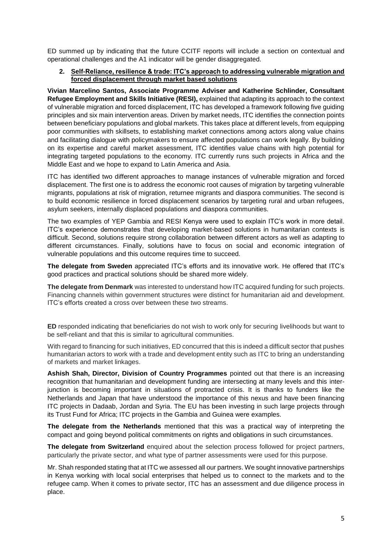ED summed up by indicating that the future CCITF reports will include a section on contextual and operational challenges and the A1 indicator will be gender disaggregated.

#### **2. Self-Reliance, resilience & trade: ITC's approach to addressing vulnerable migration and forced displacement through market based solutions**

**Vivian Marcelino Santos, Associate Programme Adviser and Katherine Schlinder, Consultant Refugee Employment and Skills Initiative (RESI),** explained that adapting its approach to the context of vulnerable migration and forced displacement, ITC has developed a framework following five guiding principles and six main intervention areas. Driven by market needs, ITC identifies the connection points between beneficiary populations and global markets. This takes place at different levels, from equipping poor communities with skillsets, to establishing market connections among actors along value chains and facilitating dialogue with policymakers to ensure affected populations can work legally. By building on its expertise and careful market assessment, ITC identifies value chains with high potential for integrating targeted populations to the economy. ITC currently runs such projects in Africa and the Middle East and we hope to expand to Latin America and Asia.

ITC has identified two different approaches to manage instances of vulnerable migration and forced displacement. The first one is to address the economic root causes of migration by targeting vulnerable migrants, populations at risk of migration, returnee migrants and diaspora communities. The second is to build economic resilience in forced displacement scenarios by targeting rural and urban refugees, asylum seekers, internally displaced populations and diaspora communities.

The two examples of YEP Gambia and RESI Kenya were used to explain ITC's work in more detail. ITC's experience demonstrates that developing market-based solutions in humanitarian contexts is difficult. Second, solutions require strong collaboration between different actors as well as adapting to different circumstances. Finally, solutions have to focus on social and economic integration of vulnerable populations and this outcome requires time to succeed.

**The delegate from Sweden** appreciated ITC's efforts and its innovative work. He offered that ITC's good practices and practical solutions should be shared more widely.

**The delegate from Denmark** was interested to understand how ITC acquired funding for such projects. Financing channels within government structures were distinct for humanitarian aid and development. ITC's efforts created a cross over between these two streams.

**ED** responded indicating that beneficiaries do not wish to work only for securing livelihoods but want to be self-reliant and that this is similar to agricultural communities.

With regard to financing for such initiatives, ED concurred that this is indeed a difficult sector that pushes humanitarian actors to work with a trade and development entity such as ITC to bring an understanding of markets and market linkages.

**Ashish Shah, Director, Division of Country Programmes** pointed out that there is an increasing recognition that humanitarian and development funding are intersecting at many levels and this interjunction is becoming important in situations of protracted crisis. It is thanks to funders like the Netherlands and Japan that have understood the importance of this nexus and have been financing ITC projects in Dadaab, Jordan and Syria. The EU has been investing in such large projects through its Trust Fund for Africa; ITC projects in the Gambia and Guinea were examples.

**The delegate from the Netherlands** mentioned that this was a practical way of interpreting the compact and going beyond political commitments on rights and obligations in such circumstances.

**The delegate from Switzerland** enquired about the selection process followed for project partners, particularly the private sector, and what type of partner assessments were used for this purpose.

Mr. Shah responded stating that at ITC we assessed all our partners. We sought innovative partnerships in Kenya working with local social enterprises that helped us to connect to the markets and to the refugee camp. When it comes to private sector, ITC has an assessment and due diligence process in place.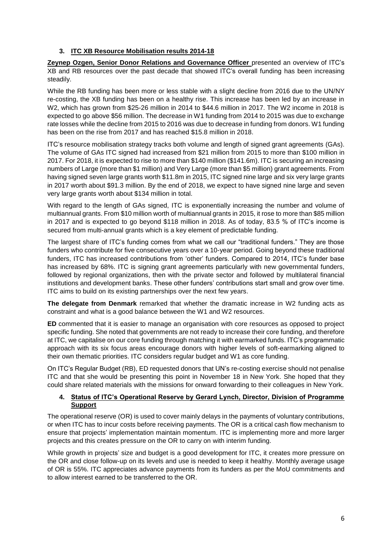# **3. ITC XB Resource Mobilisation results 2014-18**

**Zeynep Ozgen, Senior Donor Relations and Governance Officer** presented an overview of ITC's XB and RB resources over the past decade that showed ITC's overall funding has been increasing steadily.

While the RB funding has been more or less stable with a slight decline from 2016 due to the UN/NY re-costing, the XB funding has been on a healthy rise. This increase has been led by an increase in W2, which has grown from \$25-26 million in 2014 to \$44.6 million in 2017. The W2 income in 2018 is expected to go above \$56 million. The decrease in W1 funding from 2014 to 2015 was due to exchange rate losses while the decline from 2015 to 2016 was due to decrease in funding from donors. W1 funding has been on the rise from 2017 and has reached \$15.8 million in 2018.

ITC's resource mobilisation strategy tracks both volume and length of signed grant agreements (GAs). The volume of GAs ITC signed had increased from \$21 million from 2015 to more than \$100 million in 2017. For 2018, it is expected to rise to more than \$140 million (\$141.6m). ITC is securing an increasing numbers of Large (more than \$1 million) and Very Large (more than \$5 million) grant agreements. From having signed seven large grants worth \$11.8m in 2015, ITC signed nine large and six very large grants in 2017 worth about \$91.3 million. By the end of 2018, we expect to have signed nine large and seven very large grants worth about \$134 million in total.

With regard to the length of GAs signed, ITC is exponentially increasing the number and volume of multiannual grants. From \$10 million worth of multiannual grants in 2015, it rose to more than \$85 million in 2017 and is expected to go beyond \$118 million in 2018. As of today, 83.5 % of ITC's income is secured from multi-annual grants which is a key element of predictable funding.

The largest share of ITC's funding comes from what we call our "traditional funders." They are those funders who contribute for five consecutive years over a 10-year period. Going beyond these traditional funders, ITC has increased contributions from 'other' funders. Compared to 2014, ITC's funder base has increased by 68%. ITC is signing grant agreements particularly with new governmental funders, followed by regional organizations, then with the private sector and followed by multilateral financial institutions and development banks. These other funders' contributions start small and grow over time. ITC aims to build on its existing partnerships over the next few years.

**The delegate from Denmark** remarked that whether the dramatic increase in W2 funding acts as constraint and what is a good balance between the W1 and W2 resources.

**ED** commented that it is easier to manage an organisation with core resources as opposed to project specific funding. She noted that governments are not ready to increase their core funding, and therefore at ITC, we capitalise on our core funding through matching it with earmarked funds. ITC's programmatic approach with its six focus areas encourage donors with higher levels of soft-earmarking aligned to their own thematic priorities. ITC considers regular budget and W1 as core funding.

On ITC's Regular Budget (RB), ED requested donors that UN's re-costing exercise should not penalise ITC and that she would be presenting this point in November 18 in New York. She hoped that they could share related materials with the missions for onward forwarding to their colleagues in New York.

# **4. Status of ITC's Operational Reserve by Gerard Lynch, Director, Division of Programme Support**

The operational reserve (OR) is used to cover mainly delays in the payments of voluntary contributions, or when ITC has to incur costs before receiving payments. The OR is a critical cash flow mechanism to ensure that projects' implementation maintain momentum. ITC is implementing more and more larger projects and this creates pressure on the OR to carry on with interim funding.

While growth in projects' size and budget is a good development for ITC, it creates more pressure on the OR and close follow-up on its levels and use is needed to keep it healthy. Monthly average usage of OR is 55%. ITC appreciates advance payments from its funders as per the MoU commitments and to allow interest earned to be transferred to the OR.